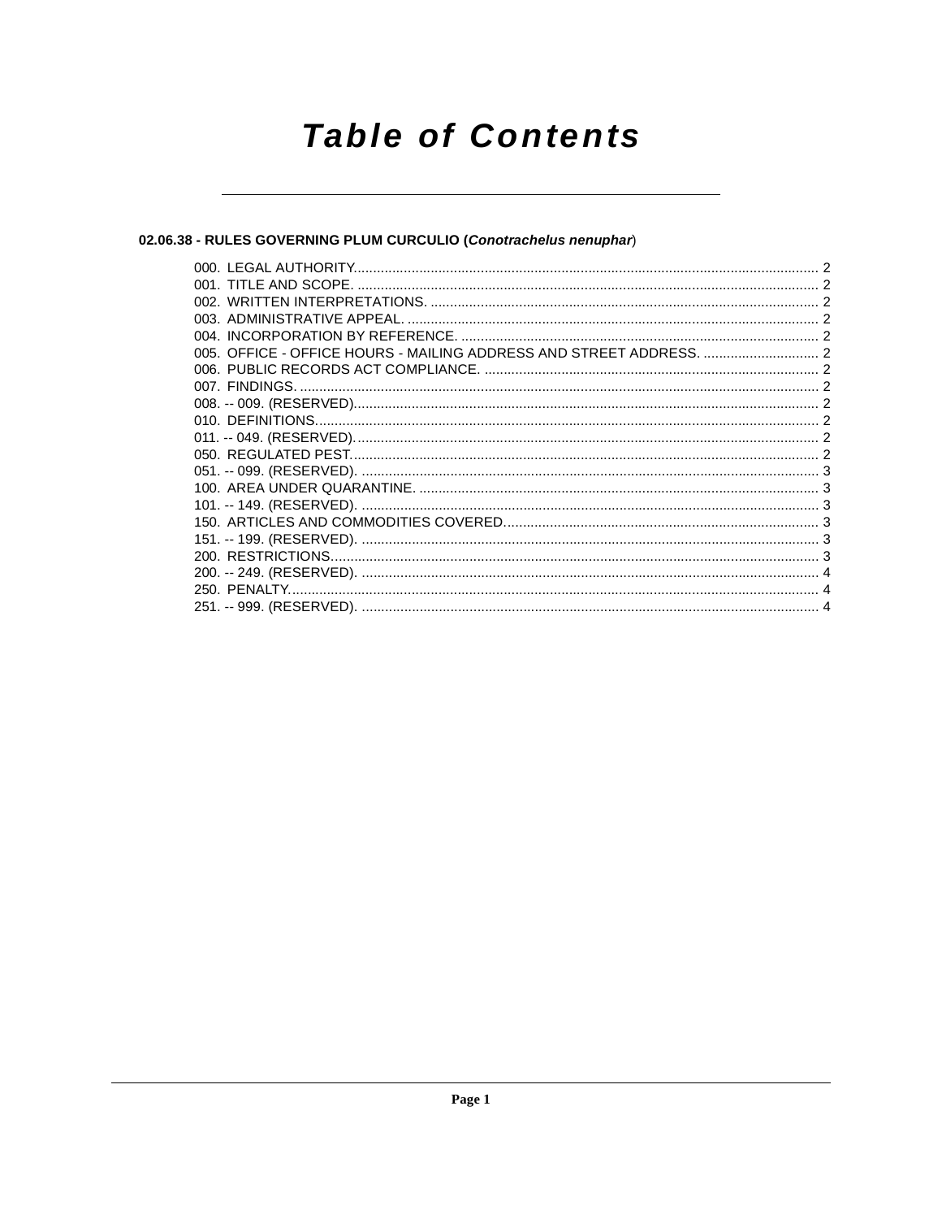# **Table of Contents**

## 02.06.38 - RULES GOVERNING PLUM CURCULIO (Conotrachelus nenuphar)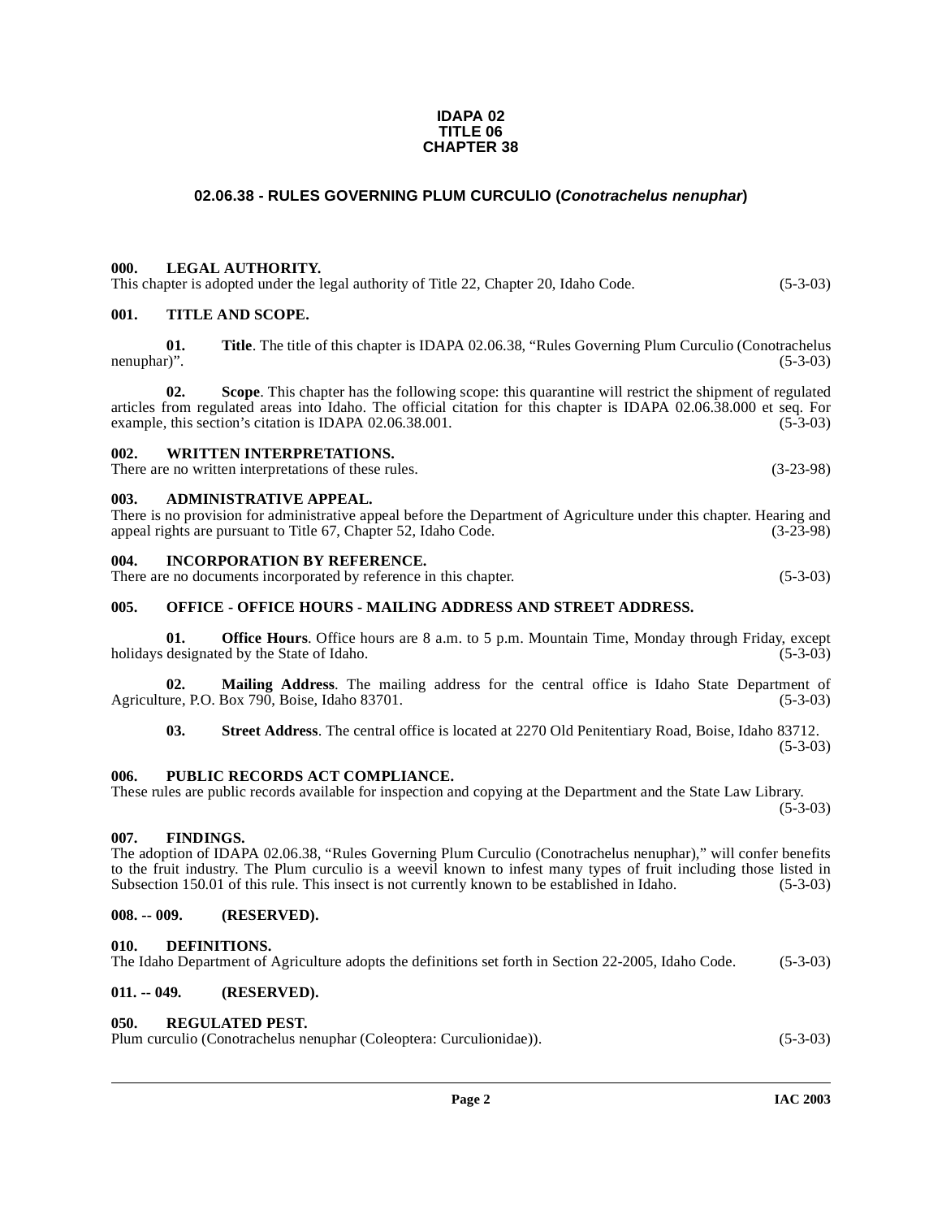#### **IDAPA 02 TITLE 06 CHAPTER 38**

## **02.06.38 - RULES GOVERNING PLUM CURCULIO (Conotrachelus nenuphar)**

## <span id="page-1-1"></span><span id="page-1-0"></span>**000. LEGAL AUTHORITY.**

| This chapter is adopted under the legal authority of Title 22, Chapter 20, Idaho Code. | $(5-3-03)$ |
|----------------------------------------------------------------------------------------|------------|
|----------------------------------------------------------------------------------------|------------|

## <span id="page-1-2"></span>**001. TITLE AND SCOPE.**

**01.** Title. The title of this chapter is IDAPA 02.06.38, "Rules Governing Plum Curculio (Conotrachelus nenuphar)". (5-3-03) nenuphar)". (5-3-03)

**02. Scope**. This chapter has the following scope: this quarantine will restrict the shipment of regulated articles from regulated areas into Idaho. The official citation for this chapter is IDAPA 02.06.38.000 et seq. For example, this section's citation is IDAPA 02.06.38.001.

## <span id="page-1-3"></span>**002. WRITTEN INTERPRETATIONS.**

There are no written interpretations of these rules. (3-23-98)

#### <span id="page-1-4"></span>**003. ADMINISTRATIVE APPEAL.**

| There is no provision for administrative appeal before the Department of Agriculture under this chapter. Hearing and |             |
|----------------------------------------------------------------------------------------------------------------------|-------------|
| appeal rights are pursuant to Title 67, Chapter 52, Idaho Code.                                                      | $(3-23-98)$ |

#### <span id="page-1-5"></span>**004. INCORPORATION BY REFERENCE.**

| There are no documents incorporated by reference in this chapter. | $(5-3-03)$ |
|-------------------------------------------------------------------|------------|
|-------------------------------------------------------------------|------------|

## <span id="page-1-6"></span>**005. OFFICE - OFFICE HOURS - MAILING ADDRESS AND STREET ADDRESS.**

**01. Office Hours**. Office hours are 8 a.m. to 5 p.m. Mountain Time, Monday through Friday, except designated by the State of Idaho. (5-3-03) holidays designated by the State of Idaho.

**02.** Mailing Address. The mailing address for the central office is Idaho State Department of ure, P.O. Box 790, Boise, Idaho 83701. (5-3-03) Agriculture, P.O. Box 790, Boise, Idaho 83701.

**03. Street Address**. The central office is located at 2270 Old Penitentiary Road, Boise, Idaho 83712.  $(5-3-03)$ 

#### <span id="page-1-7"></span>**006. PUBLIC RECORDS ACT COMPLIANCE.**

#### These rules are public records available for inspection and copying at the Department and the State Law Library.  $(5-3-03)$

#### <span id="page-1-14"></span><span id="page-1-8"></span>**007. FINDINGS.**

The adoption of IDAPA 02.06.38, "Rules Governing Plum Curculio (Conotrachelus nenuphar)," will confer benefits to the fruit industry. The Plum curculio is a weevil known to infest many types of fruit including those listed in Subsection 150.01 of this rule. This insect is not currently known to be established in Idaho. (5-3-03)

## <span id="page-1-9"></span>**008. -- 009. (RESERVED).**

#### <span id="page-1-13"></span><span id="page-1-10"></span>**010. DEFINITIONS.**

| The Idaho Department of Agriculture adopts the definitions set forth in Section 22-2005, Idaho Code. | $(5-3-03)$ |
|------------------------------------------------------------------------------------------------------|------------|
|------------------------------------------------------------------------------------------------------|------------|

## <span id="page-1-11"></span>**011. -- 049. (RESERVED).**

#### <span id="page-1-15"></span><span id="page-1-12"></span>**050. REGULATED PEST.**

| Plum curculio (Conotrachelus nenuphar (Coleoptera: Curculionidae)). | $(5-3-03)$ |
|---------------------------------------------------------------------|------------|
|---------------------------------------------------------------------|------------|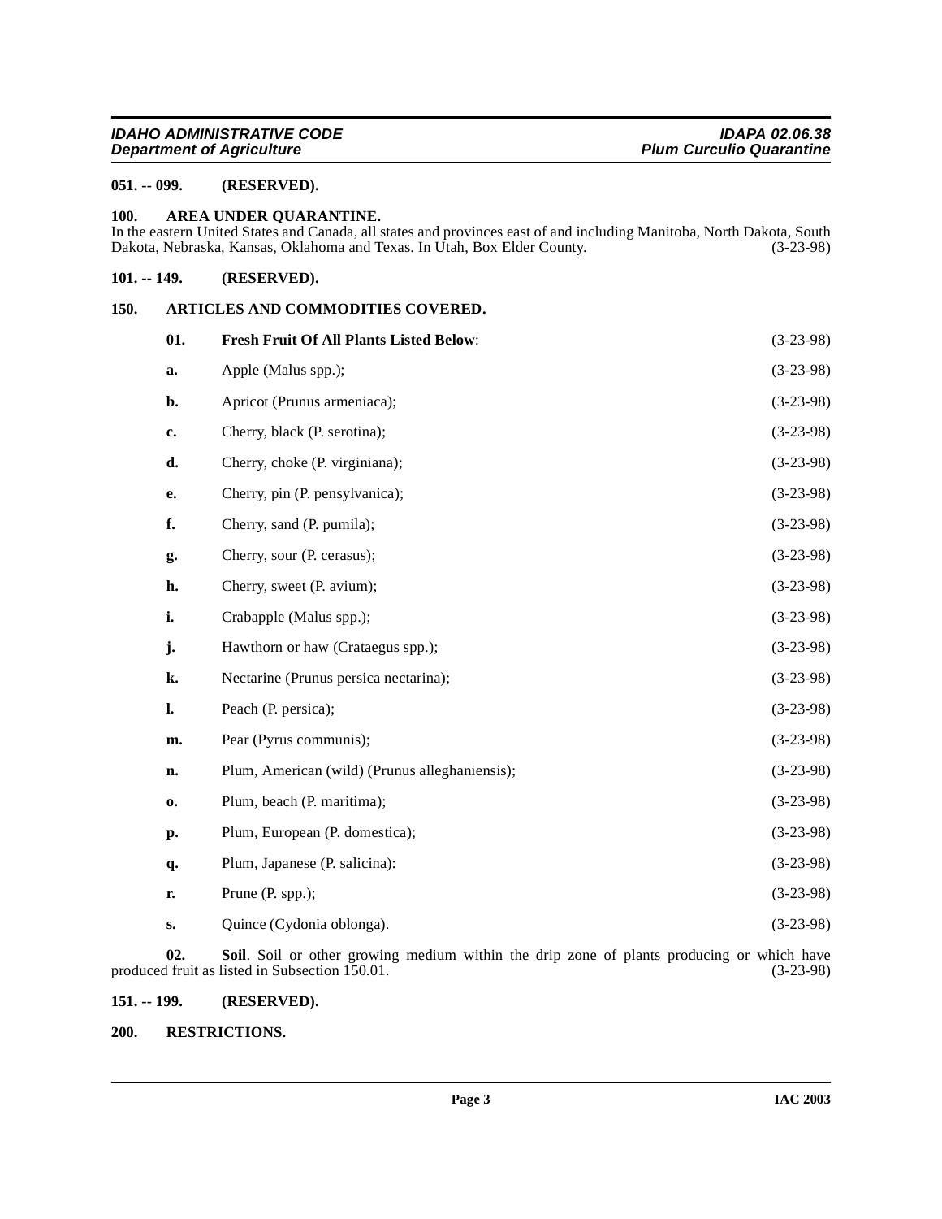## <span id="page-2-0"></span>**051. -- 099. (RESERVED).**

#### <span id="page-2-6"></span><span id="page-2-1"></span>**100. AREA UNDER QUARANTINE.**

In the eastern United States and Canada, all states and provinces east of and including Manitoba, North Dakota, South Dakota, Nebraska, Kansas, Oklahoma and Texas. In Utah, Box Elder County. (3-23-98)

#### <span id="page-2-2"></span>**101. -- 149. (RESERVED).**

#### <span id="page-2-3"></span>**150. ARTICLES AND COMMODITIES COVERED.**

<span id="page-2-8"></span><span id="page-2-7"></span>

| 01.           | <b>Fresh Fruit Of All Plants Listed Below:</b> | $(3-23-98)$ |
|---------------|------------------------------------------------|-------------|
| a.            | Apple (Malus spp.);                            | $(3-23-98)$ |
| b.            | Apricot (Prunus armeniaca);                    | $(3-23-98)$ |
| c.            | Cherry, black (P. serotina);                   | $(3-23-98)$ |
| d.            | Cherry, choke (P. virginiana);                 | $(3-23-98)$ |
| e.            | Cherry, pin (P. pensylvanica);                 | $(3-23-98)$ |
| f.            | Cherry, sand (P. pumila);                      | $(3-23-98)$ |
| g.            | Cherry, sour (P. cerasus);                     | $(3-23-98)$ |
| h.            | Cherry, sweet (P. avium);                      | $(3-23-98)$ |
| i.            | Crabapple (Malus spp.);                        | $(3-23-98)$ |
| j.            | Hawthorn or haw (Crataegus spp.);              | $(3-23-98)$ |
| k.            | Nectarine (Prunus persica nectarina);          | $(3-23-98)$ |
| l.            | Peach (P. persica);                            | $(3-23-98)$ |
| m.            | Pear (Pyrus communis);                         | $(3-23-98)$ |
| n.            | Plum, American (wild) (Prunus alleghaniensis); | $(3-23-98)$ |
| $\mathbf{0}$  | Plum, beach (P. maritima);                     | $(3-23-98)$ |
| p.            | Plum, European (P. domestica);                 | $(3-23-98)$ |
| q.            | Plum, Japanese (P. salicina):                  | $(3-23-98)$ |
| r.            | Prune (P. spp.);                               | $(3-23-98)$ |
| $S_{\bullet}$ | Quince (Cydonia oblonga).                      | $(3-23-98)$ |
|               |                                                |             |

**02. Soil**. Soil or other growing medium within the drip zone of plants producing or which have produced fruit as listed in Subsection 150.01. (3-23-98)

## <span id="page-2-4"></span>**151. -- 199. (RESERVED).**

#### <span id="page-2-9"></span><span id="page-2-5"></span>**200. RESTRICTIONS.**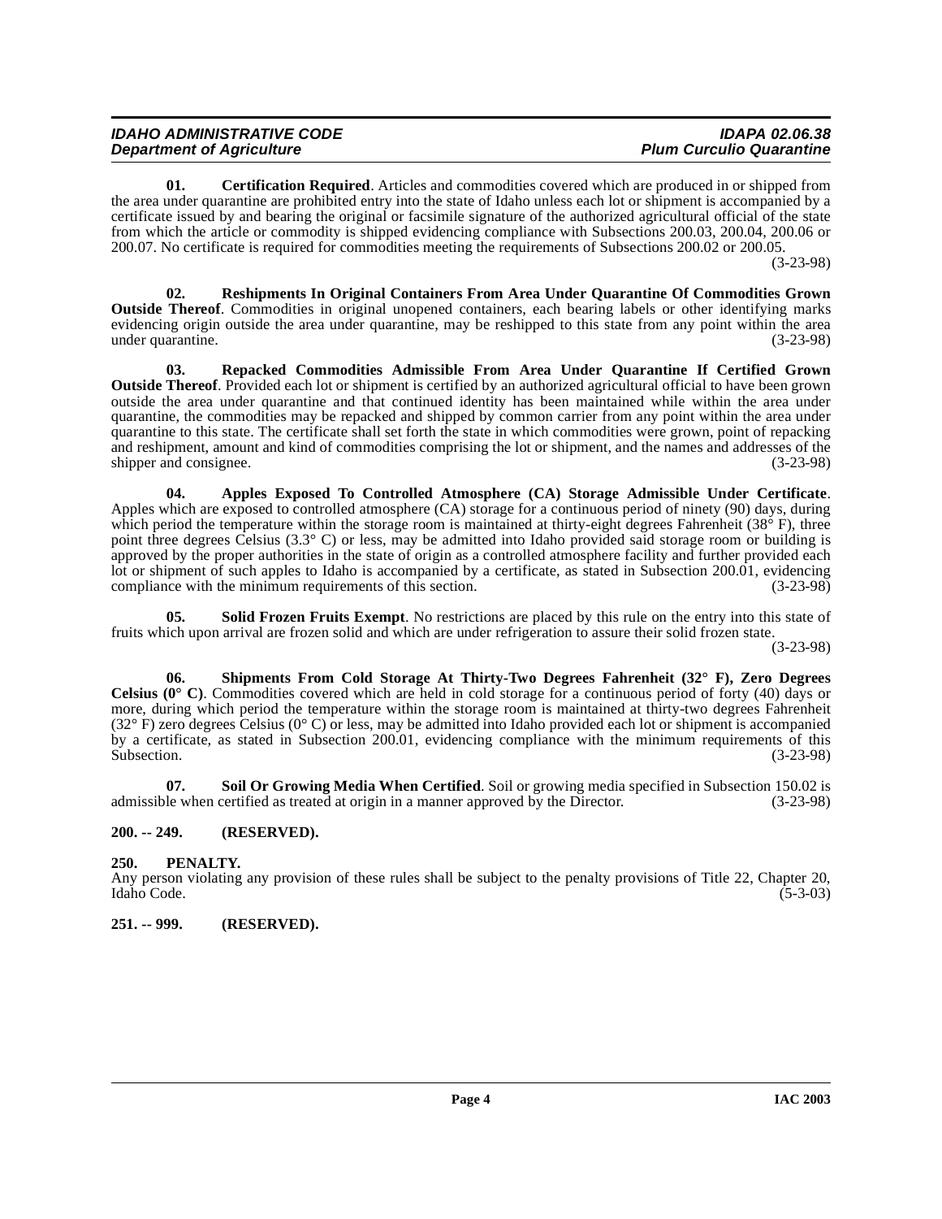| <b>IDAHO ADMINISTRATIVE CODE</b> | <b>IDAPA 02.06.38</b>           |
|----------------------------------|---------------------------------|
| <b>Department of Agriculture</b> | <b>Plum Curculio Quarantine</b> |

<span id="page-3-4"></span>**01. Certification Required**. Articles and commodities covered which are produced in or shipped from the area under quarantine are prohibited entry into the state of Idaho unless each lot or shipment is accompanied by a certificate issued by and bearing the original or facsimile signature of the authorized agricultural official of the state from which the article or commodity is shipped evidencing compliance with Subsections 200.03, 200.04, 200.06 or 200.07. No certificate is required for commodities meeting the requirements of Subsections 200.02 or 200.05.

(3-23-98)

<span id="page-3-6"></span>**02. Reshipments In Original Containers From Area Under Quarantine Of Commodities Grown Outside Thereof**. Commodities in original unopened containers, each bearing labels or other identifying marks evidencing origin outside the area under quarantine, may be reshipped to this state from any point within the area under quarantine. (3-23-98)

<span id="page-3-5"></span>**03. Repacked Commodities Admissible From Area Under Quarantine If Certified Grown Outside Thereof**. Provided each lot or shipment is certified by an authorized agricultural official to have been grown outside the area under quarantine and that continued identity has been maintained while within the area under quarantine, the commodities may be repacked and shipped by common carrier from any point within the area under quarantine to this state. The certificate shall set forth the state in which commodities were grown, point of repacking and reshipment, amount and kind of commodities comprising the lot or shipment, and the names and addresses of the shipper and consignee. (3-23-98)

<span id="page-3-3"></span>**04. Apples Exposed To Controlled Atmosphere (CA) Storage Admissible Under Certificate**. Apples which are exposed to controlled atmosphere (CA) storage for a continuous period of ninety (90) days, during which period the temperature within the storage room is maintained at thirty-eight degrees Fahrenheit ( $38^{\circ}$  F), three point three degrees Celsius (3.3° C) or less, may be admitted into Idaho provided said storage room or building is approved by the proper authorities in the state of origin as a controlled atmosphere facility and further provided each lot or shipment of such apples to Idaho is accompanied by a certificate, as stated in Subsection 200.01, evidencing compliance with the minimum requirements of this section. (3-23-98) compliance with the minimum requirements of this section.

<span id="page-3-9"></span>**Solid Frozen Fruits Exempt**. No restrictions are placed by this rule on the entry into this state of fruits which upon arrival are frozen solid and which are under refrigeration to assure their solid frozen state.

(3-23-98)

<span id="page-3-7"></span>**06. Shipments From Cold Storage At Thirty-Two Degrees Fahrenheit (32° F), Zero Degrees Celsius (0° C)**. Commodities covered which are held in cold storage for a continuous period of forty (40) days or more, during which period the temperature within the storage room is maintained at thirty-two degrees Fahrenheit  $(32^{\circ} \text{ F})$  zero degrees Celsius  $(0^{\circ} \text{ C})$  or less, may be admitted into Idaho provided each lot or shipment is accompanied by a certificate, as stated in Subsection 200.01, evidencing compliance with the minimum requirements of this Subsection. (3-23-98) Subsection.  $(3-23-98)$ 

<span id="page-3-8"></span>**07.** Soil Or Growing Media When Certified. Soil or growing media specified in Subsection 150.02 is le when certified as treated at origin in a manner approved by the Director. (3-23-98) admissible when certified as treated at origin in a manner approved by the Director.

#### <span id="page-3-0"></span>**200. -- 249. (RESERVED).**

## <span id="page-3-1"></span>**250. PENALTY.**

Any person violating any provision of these rules shall be subject to the penalty provisions of Title 22, Chapter 20, Idaho Code. (5-3-03)

<span id="page-3-2"></span>**251. -- 999. (RESERVED).**